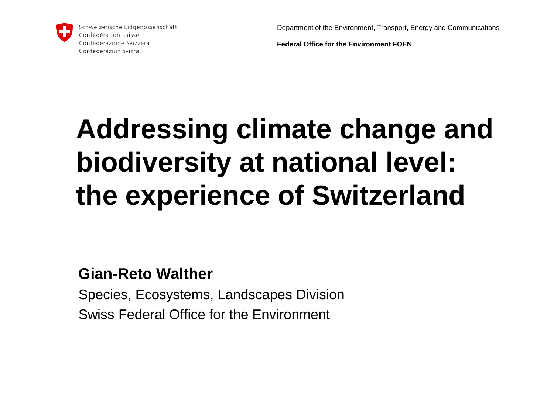Department of the Environment, Transport, Energy and Communications



Schweizerische Eidgenossenschaft Confédération suisse Confederazione Svizzera Confederaziun svizra

**Federal Office for the Environment FOEN**

# **Addressing climate change and biodiversity at national level: the experience of Switzerland**

### **Gian-Reto Walther**

Species, Ecosystems, Landscapes Division Swiss Federal Office for the Environment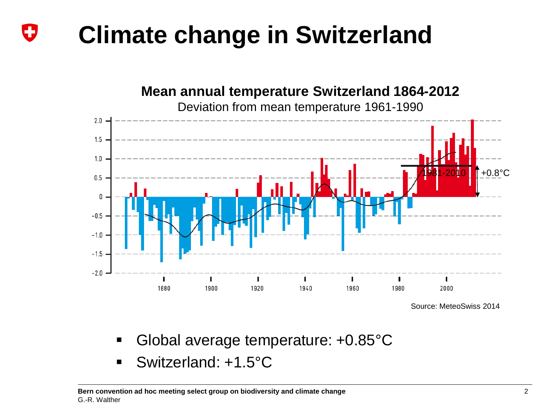#### **Climate change in Switzerland** IJ

#### **Mean annual temperature Switzerland 1864-2012**



Deviation from mean temperature 1961-1990

- Global average temperature: +0.85°C
- Switzerland: +1.5°C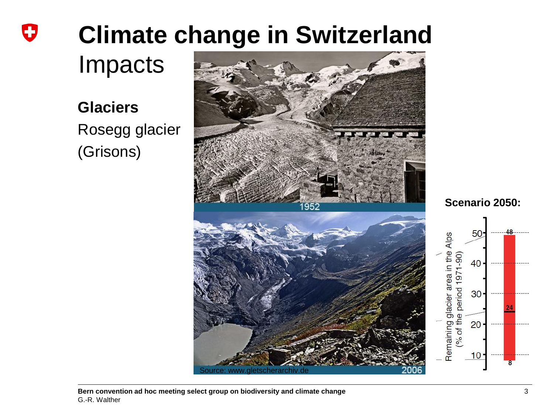#### **Climate change in Switzerland** IJ

Impacts

**Glaciers** Rosegg glacier (Grisons)





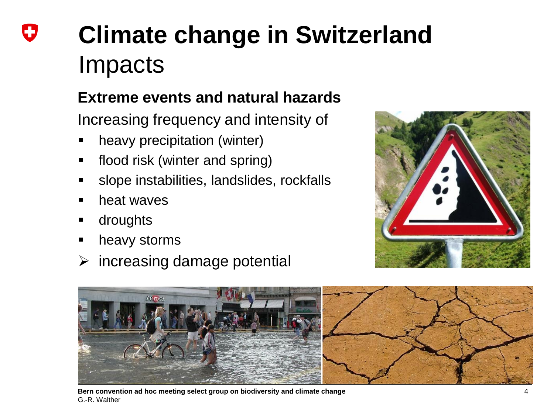# **Climate change in Switzerland** Impacts

## **Extreme events and natural hazards**

Increasing frequency and intensity of

- heavy precipitation (winter)
- flood risk (winter and spring)
- slope instabilities, landslides, rockfalls
- heat waves
- droughts
- heavy storms
- $\triangleright$  increasing damage potential





**Bern convention ad hoc meeting select group on biodiversity and climate change** 4 G.-R. Walther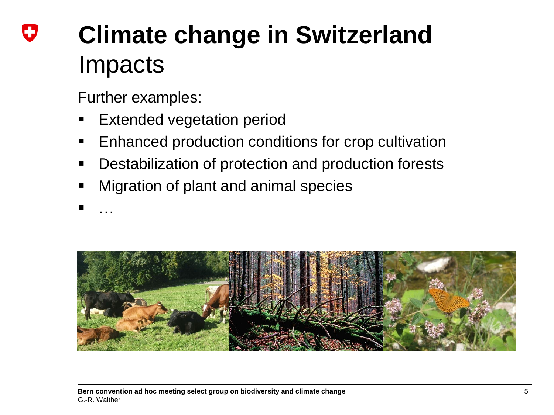# **Climate change in Switzerland** Impacts

Further examples:

- Extended vegetation period
- Enhanced production conditions for crop cultivation
- Destabilization of protection and production forests
- Migration of plant and animal species
- <sub>…</sub>

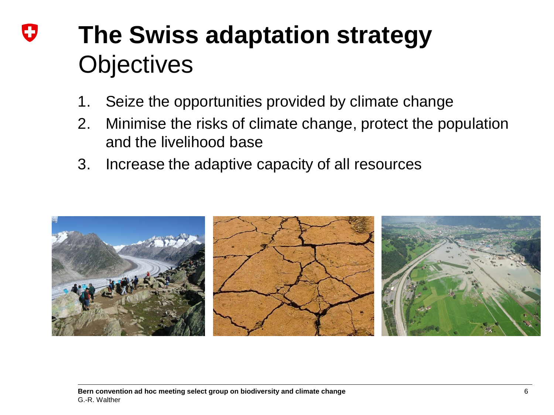## **The Swiss adaptation strategy Objectives**

- 1. Seize the opportunities provided by climate change
- 2. Minimise the risks of climate change, protect the population and the livelihood base
- 3. Increase the adaptive capacity of all resources

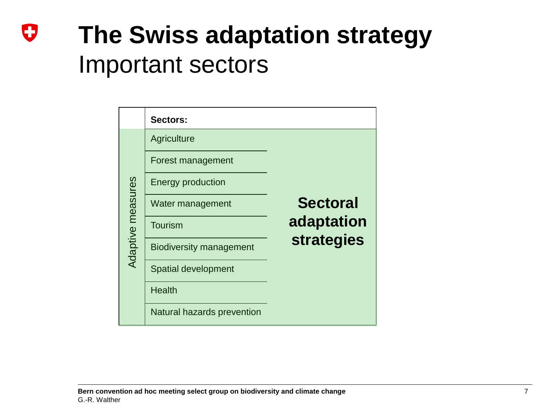## U **The Swiss adaptation strategy** Important sectors

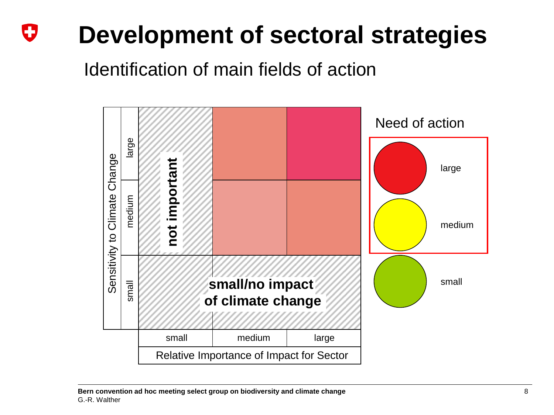#### U **Development of sectoral strategies**

Identification of main fields of action

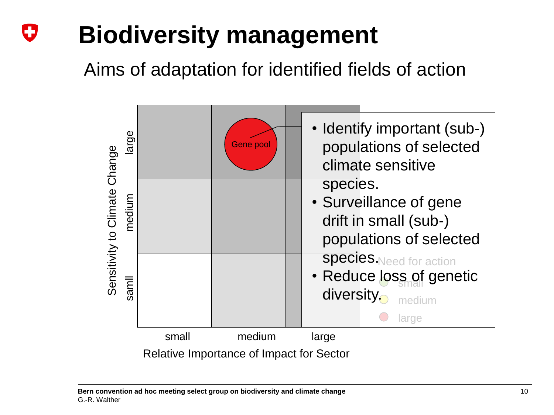#### IJ **Biodiversity management**

Aims of adaptation for identified fields of action



**Bern convention ad hoc meeting select group on biodiversity and climate change** 10 10 G.-R. Walther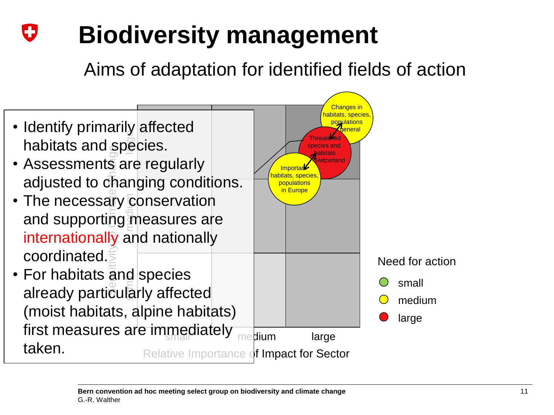#### IJ **Biodiversity management**

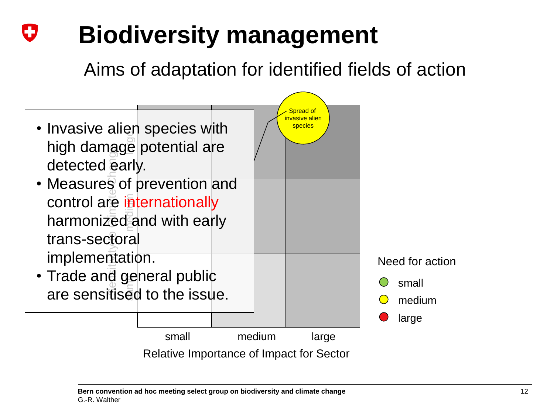#### IJ **Biodiversity management**

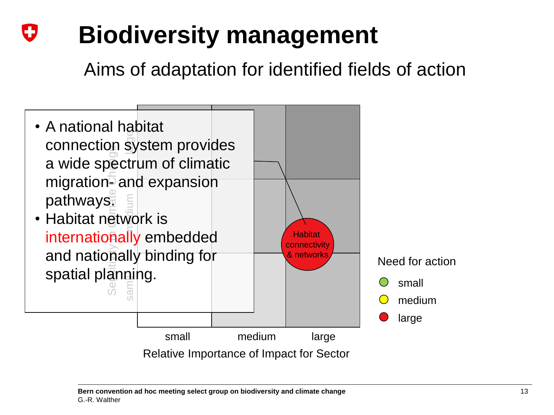#### U **Biodiversity management**

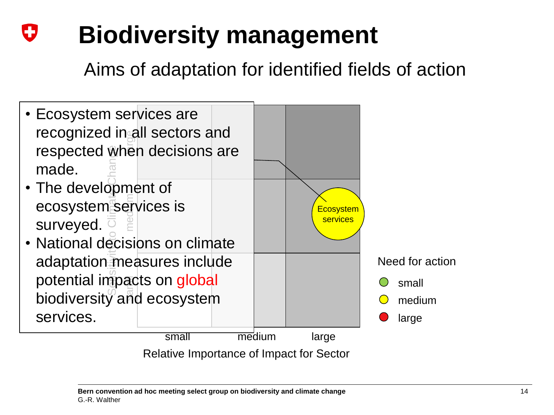#### U **Biodiversity management**

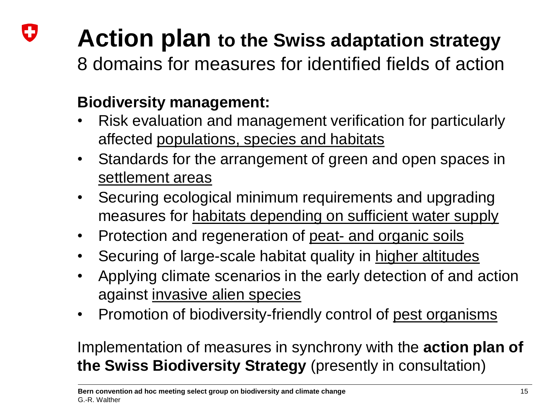### IJ **Action plan to the Swiss adaptation strategy**

8 domains for measures for identified fields of action

### **Biodiversity management:**

- Risk evaluation and management verification for particularly affected populations, species and habitats
- Standards for the arrangement of green and open spaces in settlement areas
- Securing ecological minimum requirements and upgrading measures for habitats depending on sufficient water supply
- Protection and regeneration of peat- and organic soils
- Securing of large-scale habitat quality in higher altitudes
- Applying climate scenarios in the early detection of and action against invasive alien species
- Promotion of biodiversity-friendly control of pest organisms

Implementation of measures in synchrony with the **action plan of the Swiss Biodiversity Strategy** (presently in consultation)